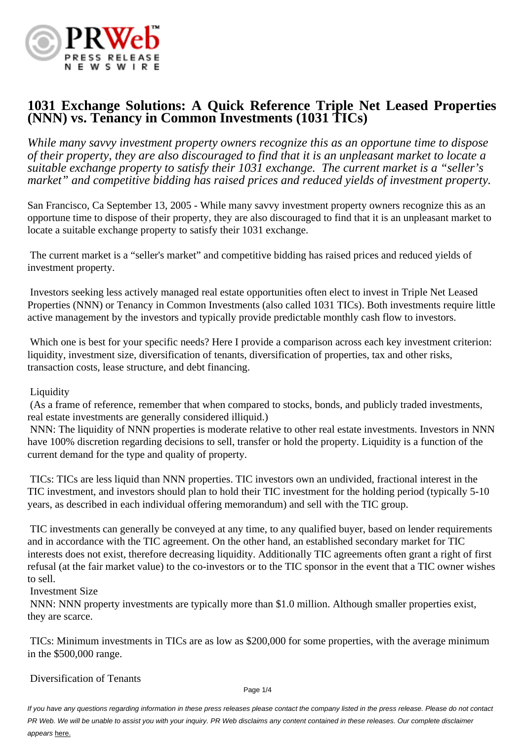

# **1031 Exchange Solutions: A Quick Reference Triple Net Leased Properties (NNN) vs. Tenancy in Common Investments (1031 TICs)**

*While many savvy investment property owners recognize this as an opportune time to dispose of their property, they are also discouraged to find that it is an unpleasant market to locate a suitable exchange property to satisfy their 1031 exchange. The current market is a "seller's market" and competitive bidding has raised prices and reduced yields of investment property.*

San Francisco, Ca September 13, 2005 - While many savvy investment property owners recognize this as an opportune time to dispose of their property, they are also discouraged to find that it is an unpleasant market to locate a suitable exchange property to satisfy their 1031 exchange.

 The current market is a "seller's market" and competitive bidding has raised prices and reduced yields of investment property.

 Investors seeking less actively managed real estate opportunities often elect to invest in Triple Net Leased Properties (NNN) or Tenancy in Common Investments (also called 1031 TICs). Both investments require little active management by the investors and typically provide predictable monthly cash flow to investors.

 Which one is best for your specific needs? Here I provide a comparison across each key investment criterion: liquidity, investment size, diversification of tenants, diversification of properties, tax and other risks, transaction costs, lease structure, and debt financing.

Liquidity

 (As a frame of reference, remember that when compared to stocks, bonds, and publicly traded investments, real estate investments are generally considered illiquid.)

 NNN: The liquidity of NNN properties is moderate relative to other real estate investments. Investors in NNN have 100% discretion regarding decisions to sell, transfer or hold the property. Liquidity is a function of the current demand for the type and quality of property.

 TICs: TICs are less liquid than NNN properties. TIC investors own an undivided, fractional interest in the TIC investment, and investors should plan to hold their TIC investment for the holding period (typically 5-10 years, as described in each individual offering memorandum) and sell with the TIC group.

 TIC investments can generally be conveyed at any time, to any qualified buyer, based on lender requirements and in accordance with the TIC agreement. On the other hand, an established secondary market for TIC interests does not exist, therefore decreasing liquidity. Additionally TIC agreements often grant a right of first refusal (at the fair market value) to the co-investors or to the TIC sponsor in the event that a TIC owner wishes to sell.

Investment Size

 NNN: NNN property investments are typically more than \$1.0 million. Although smaller properties exist, they are scarce.

 TICs: Minimum investments in TICs are as low as \$200,000 for some properties, with the average minimum in the \$500,000 range.

Diversification of Tenants

Page 1/4

If you have any questions regarding information in these press releases please contact the company listed in the press release. Please do not contact PR Web. We will be unable to assist you with your inquiry. PR Web disclaims any content contained in these releases. Our complete disclaimer appears here.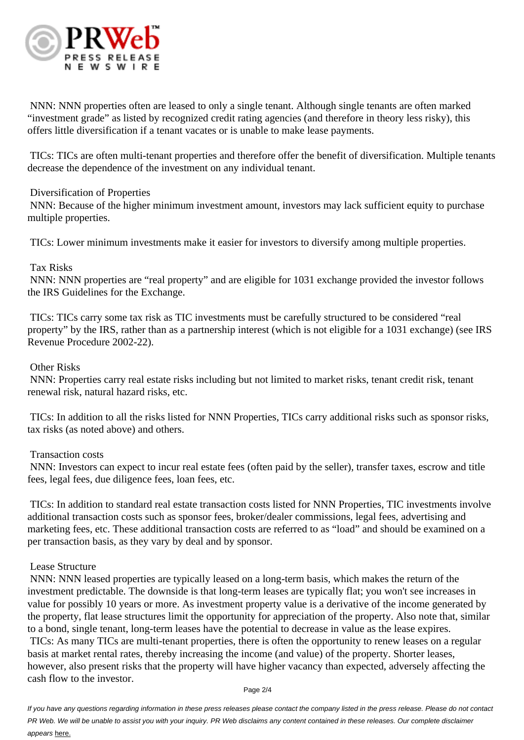

 NNN: NNN properties often are leased to only a single tenant. Although single tenants are often marked "investment grade" as listed by recognized credit rating agencies (and therefore in theory less risky), this offers little diversification if a tenant vacates or is unable to make lease payments.

 TICs: TICs are often multi-tenant properties and therefore offer the benefit of diversification. Multiple tenants decrease the dependence of the investment on any individual tenant.

## Diversification of Properties

 NNN: Because of the higher minimum investment amount, investors may lack sufficient equity to purchase multiple properties.

TICs: Lower minimum investments make it easier for investors to diversify among multiple properties.

## Tax Risks

 NNN: NNN properties are "real property" and are eligible for 1031 exchange provided the investor follows the IRS Guidelines for the Exchange.

 TICs: TICs carry some tax risk as TIC investments must be carefully structured to be considered "real property" by the IRS, rather than as a partnership interest (which is not eligible for a 1031 exchange) (see IRS Revenue Procedure 2002-22).

## Other Risks

 NNN: Properties carry real estate risks including but not limited to market risks, tenant credit risk, tenant renewal risk, natural hazard risks, etc.

 TICs: In addition to all the risks listed for NNN Properties, TICs carry additional risks such as sponsor risks, tax risks (as noted above) and others.

#### Transaction costs

 NNN: Investors can expect to incur real estate fees (often paid by the seller), transfer taxes, escrow and title fees, legal fees, due diligence fees, loan fees, etc.

 TICs: In addition to standard real estate transaction costs listed for NNN Properties, TIC investments involve additional transaction costs such as sponsor fees, broker/dealer commissions, legal fees, advertising and marketing fees, etc. These additional transaction costs are referred to as "load" and should be examined on a per transaction basis, as they vary by deal and by sponsor.

#### Lease Structure

 NNN: NNN leased properties are typically leased on a long-term basis, which makes the return of the investment predictable. The downside is that long-term leases are typically flat; you won't see increases in value for possibly 10 years or more. As investment property value is a derivative of the income generated by the property, flat lease structures limit the opportunity for appreciation of the property. Also note that, similar to a bond, single tenant, long-term leases have the potential to decrease in value as the lease expires. TICs: As many TICs are multi-tenant properties, there is often the opportunity to renew leases on a regular basis at market rental rates, thereby increasing the income (and value) of the property. Shorter leases, however, also present risks that the property will have higher vacancy than expected, adversely affecting the cash flow to the investor.

Page 2/4

If you have any questions regarding information in these press releases please contact the company listed in the press release. Please do not contact PR Web. We will be unable to assist you with your inquiry. PR Web disclaims any content contained in these releases. Our complete disclaimer appears here.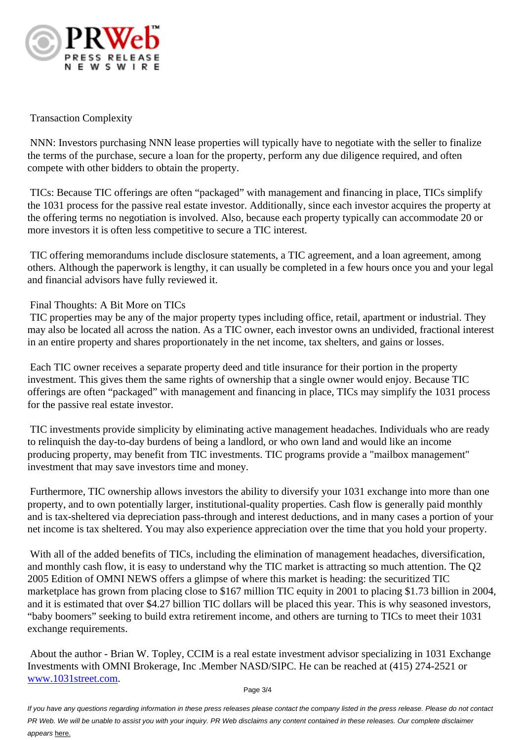

## Transaction Complexity

 NNN: Investors purchasing NNN lease properties will typically have to negotiate with the seller to finalize the terms of the purchase, secure a loan for the property, perform any due diligence required, and often compete with other bidders to obtain the property.

 TICs: Because TIC offerings are often "packaged" with management and financing in place, TICs simplify the 1031 process for the passive real estate investor. Additionally, since each investor acquires the property at the offering terms no negotiation is involved. Also, because each property typically can accommodate 20 or more investors it is often less competitive to secure a TIC interest.

 TIC offering memorandums include disclosure statements, a TIC agreement, and a loan agreement, among others. Although the paperwork is lengthy, it can usually be completed in a few hours once you and your legal and financial advisors have fully reviewed it.

## Final Thoughts: A Bit More on TICs

 TIC properties may be any of the major property types including office, retail, apartment or industrial. They may also be located all across the nation. As a TIC owner, each investor owns an undivided, fractional interest in an entire property and shares proportionately in the net income, tax shelters, and gains or losses.

 Each TIC owner receives a separate property deed and title insurance for their portion in the property investment. This gives them the same rights of ownership that a single owner would enjoy. Because TIC offerings are often "packaged" with management and financing in place, TICs may simplify the 1031 process for the passive real estate investor.

 TIC investments provide simplicity by eliminating active management headaches. Individuals who are ready to relinquish the day-to-day burdens of being a landlord, or who own land and would like an income producing property, may benefit from TIC investments. TIC programs provide a "mailbox management" investment that may save investors time and money.

 Furthermore, TIC ownership allows investors the ability to diversify your 1031 exchange into more than one property, and to own potentially larger, institutional-quality properties. Cash flow is generally paid monthly and is tax-sheltered via depreciation pass-through and interest deductions, and in many cases a portion of your net income is tax sheltered. You may also experience appreciation over the time that you hold your property.

With all of the added benefits of TICs, including the elimination of management headaches, diversification, and monthly cash flow, it is easy to understand why the TIC market is attracting so much attention. The Q2 2005 Edition of OMNI NEWS offers a glimpse of where this market is heading: the securitized TIC marketplace has grown from placing close to \$167 million TIC equity in 2001 to placing \$1.73 billion in 2004, and it is estimated that over \$4.27 billion TIC dollars will be placed this year. This is why seasoned investors, "baby boomers" seeking to build extra retirement income, and others are turning to TICs to meet their 1031 exchange requirements.

 About the author - Brian W. Topley, CCIM is a real estate investment advisor specializing in 1031 Exchange Investments with OMNI Brokerage, Inc .Member NASD/SIPC. He can be reached at (415) 274-2521 or www.1031street.com.

Page 3/4

If you have any questions regarding information in these press releases please contact the company listed in the press release. Please do not contact [PR Web. We will be unable to](http://www.1031street.com) assist you with your inquiry. PR Web disclaims any content contained in these releases. Our complete disclaimer appears here.